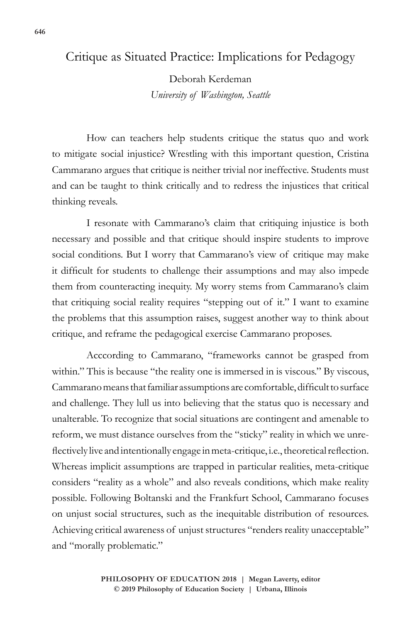## Critique as Situated Practice: Implications for Pedagogy

Deborah Kerdeman *University of Washington, Seattle*

How can teachers help students critique the status quo and work to mitigate social injustice? Wrestling with this important question, Cristina Cammarano argues that critique is neither trivial nor ineffective. Students must and can be taught to think critically and to redress the injustices that critical thinking reveals.

I resonate with Cammarano's claim that critiquing injustice is both necessary and possible and that critique should inspire students to improve social conditions. But I worry that Cammarano's view of critique may make it difficult for students to challenge their assumptions and may also impede them from counteracting inequity. My worry stems from Cammarano's claim that critiquing social reality requires "stepping out of it." I want to examine the problems that this assumption raises, suggest another way to think about critique, and reframe the pedagogical exercise Cammarano proposes.

Acccording to Cammarano, "frameworks cannot be grasped from within." This is because "the reality one is immersed in is viscous." By viscous, Cammarano means that familiar assumptions are comfortable, difficult to surface and challenge. They lull us into believing that the status quo is necessary and unalterable. To recognize that social situations are contingent and amenable to reform, we must distance ourselves from the "sticky" reality in which we unreflectively live and intentionally engage in meta-critique, i.e., theoretical reflection. Whereas implicit assumptions are trapped in particular realities, meta-critique considers "reality as a whole" and also reveals conditions, which make reality possible. Following Boltanski and the Frankfurt School, Cammarano focuses on unjust social structures, such as the inequitable distribution of resources. Achieving critical awareness of unjust structures "renders reality unacceptable" and "morally problematic."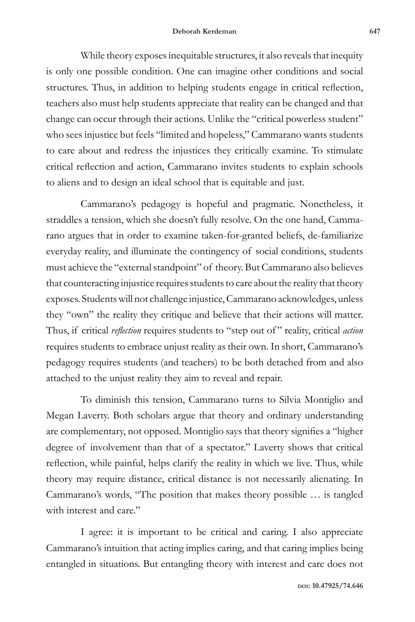While theory exposes inequitable structures, it also reveals that inequity is only one possible condition. One can imagine other conditions and social structures. Thus, in addition to helping students engage in critical reflection, teachers also must help students appreciate that reality can be changed and that change can occur through their actions. Unlike the "critical powerless student" who sees injustice but feels "limited and hopeless," Cammarano wants students to care about and redress the injustices they critically examine. To stimulate critical reflection and action, Cammarano invites students to explain schools to aliens and to design an ideal school that is equitable and just.

Cammarano's pedagogy is hopeful and pragmatic. Nonetheless, it straddles a tension, which she doesn't fully resolve. On the one hand, Cammarano argues that in order to examine taken-for-granted beliefs, de-familiarize everyday reality, and illuminate the contingency of social conditions, students must achieve the "external standpoint" of theory. But Cammarano also believes that counteracting injustice requires students to care about the reality that theory exposes. Students will not challenge injustice, Cammarano acknowledges, unless they "own" the reality they critique and believe that their actions will matter. Thus, if critical *reflection* requires students to "step out of " reality, critical *action* requires students to embrace unjust reality as their own. In short, Cammarano's pedagogy requires students (and teachers) to be both detached from and also attached to the unjust reality they aim to reveal and repair.

To diminish this tension, Cammarano turns to Silvia Montiglio and Megan Laverty. Both scholars argue that theory and ordinary understanding are complementary, not opposed. Montiglio says that theory signifies a "higher degree of involvement than that of a spectator." Laverty shows that critical reflection, while painful, helps clarify the reality in which we live. Thus, while theory may require distance, critical distance is not necessarily alienating. In Cammarano's words, "The position that makes theory possible … is tangled with interest and care."

I agree: it is important to be critical and caring. I also appreciate Cammarano's intuition that acting implies caring, and that caring implies being entangled in situations. But entangling theory with interest and care does not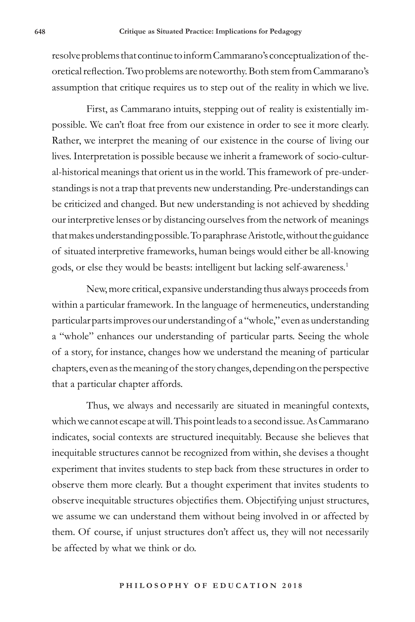resolve problems that continue to inform Cammarano's conceptualization of theoretical reflection. Two problems are noteworthy. Both stem from Cammarano's assumption that critique requires us to step out of the reality in which we live.

First, as Cammarano intuits, stepping out of reality is existentially impossible. We can't float free from our existence in order to see it more clearly. Rather, we interpret the meaning of our existence in the course of living our lives. Interpretation is possible because we inherit a framework of socio-cultural-historical meanings that orient us in the world. This framework of pre-understandings is not a trap that prevents new understanding. Pre-understandings can be criticized and changed. But new understanding is not achieved by shedding our interpretive lenses or by distancing ourselves from the network of meanings that makes understanding possible. To paraphrase Aristotle, without the guidance of situated interpretive frameworks, human beings would either be all-knowing gods, or else they would be beasts: intelligent but lacking self-awareness.1

New, more critical, expansive understanding thus always proceeds from within a particular framework. In the language of hermeneutics, understanding particular parts improves our understanding of a "whole," even as understanding a "whole" enhances our understanding of particular parts. Seeing the whole of a story, for instance, changes how we understand the meaning of particular chapters, even as the meaning of the story changes, depending on the perspective that a particular chapter affords.

Thus, we always and necessarily are situated in meaningful contexts, which we cannot escape at will. This point leads to a second issue. As Cammarano indicates, social contexts are structured inequitably. Because she believes that inequitable structures cannot be recognized from within, she devises a thought experiment that invites students to step back from these structures in order to observe them more clearly. But a thought experiment that invites students to observe inequitable structures objectifies them. Objectifying unjust structures, we assume we can understand them without being involved in or affected by them. Of course, if unjust structures don't affect us, they will not necessarily be affected by what we think or do.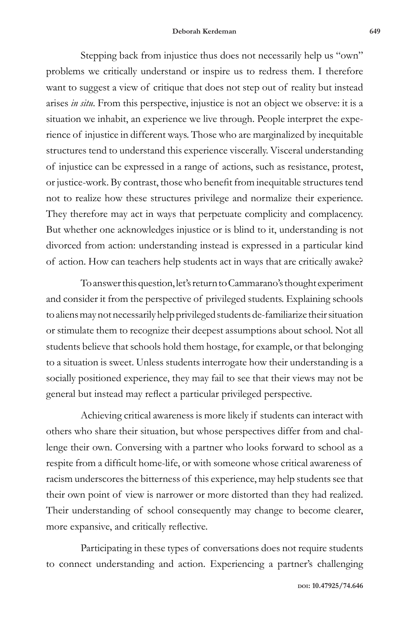Stepping back from injustice thus does not necessarily help us "own" problems we critically understand or inspire us to redress them. I therefore want to suggest a view of critique that does not step out of reality but instead arises *in situ*. From this perspective, injustice is not an object we observe: it is a situation we inhabit, an experience we live through. People interpret the experience of injustice in different ways. Those who are marginalized by inequitable structures tend to understand this experience viscerally. Visceral understanding of injustice can be expressed in a range of actions, such as resistance, protest, or justice-work. By contrast, those who benefit from inequitable structures tend not to realize how these structures privilege and normalize their experience. They therefore may act in ways that perpetuate complicity and complacency. But whether one acknowledges injustice or is blind to it, understanding is not divorced from action: understanding instead is expressed in a particular kind of action. How can teachers help students act in ways that are critically awake?

To answer this question, let's return to Cammarano's thought experiment and consider it from the perspective of privileged students. Explaining schools to aliens may not necessarily help privileged students de-familiarize their situation or stimulate them to recognize their deepest assumptions about school. Not all students believe that schools hold them hostage, for example, or that belonging to a situation is sweet. Unless students interrogate how their understanding is a socially positioned experience, they may fail to see that their views may not be general but instead may reflect a particular privileged perspective.

Achieving critical awareness is more likely if students can interact with others who share their situation, but whose perspectives differ from and challenge their own. Conversing with a partner who looks forward to school as a respite from a difficult home-life, or with someone whose critical awareness of racism underscores the bitterness of this experience, may help students see that their own point of view is narrower or more distorted than they had realized. Their understanding of school consequently may change to become clearer, more expansive, and critically reflective.

Participating in these types of conversations does not require students to connect understanding and action. Experiencing a partner's challenging